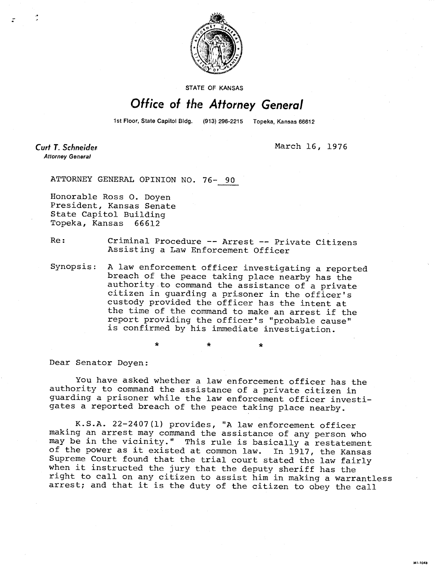

**STATE OF KANSAS** 

## Office of the Attorney General

1st Floor, State Capitol Bldg. (913) 296-2215 Topeka, Kansas 66612

**Curt T. Schneider Attorney General** 

March 16, 1976

MI-1043

ATTORNEY GENERAL OPINION NO. 76- 90

Honorable Ross 0. Doyen President, Kansas Senate State Capitol Building Topeka, Kansas 66612

Re: Criminal Procedure -- Arrest -- Private Citizens Assisting a Law Enforcement Officer

Synopsis: A law enforcement officer investigating a reported breach of the peace taking place nearby has the authority to command the assistance of a private citizen in guarding a prisoner in the officer's custody provided the officer has the intent at the time of the command to make an arrest if the report providing the officer's "probable cause" is confirmed by his immediate investigation.

Dear Senator Doyen:

You have asked whether a law enforcement officer has the authority to command the assistance of a private citizen in guarding a prisoner while the law enforcement officer investigates a reported breach of the peace taking place nearby.

K.S.A. 22-2407(1) provides, "A law enforcement officer making an arrest may command the assistance of any person who man-ing the contract of the vicinity." This rule is basically a restatement of the power as it existed at common law. In 1917, the Kansas Supreme Court found that the trial court stated the law fairly when it instructed the jury that the deputy sheriff has the right to call on any citizen to assist him in making a warrantless arrest; and that it is the duty of the citizen to obey the call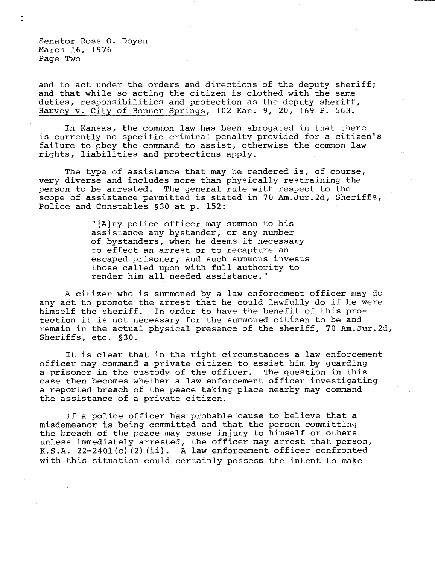Senator Ross O. Doyen March 16, 1976 Page Two

and to act under the orders and directions of the deputy sheriff; and that while so acting the citizen is clothed with the same duties, responsibilities and protection as the deputy sheriff, Harvey v. City of Bonner Springs, 102 Kan. 9, 20, 169 P. 563.

In Kansas, the common law has been abrogated in that there is currently no specific criminal penalty provided for a citizen's failure to obey the command to assist, otherwise the common law rights, liabilities and protections apply.

The type of assistance that may be rendered is, of course, very diverse and includes more than physically restraining the person to be arrested. The general rule with respect to the scope of assistance permitted is stated in 70 Am.Jur.2d, Sheriffs, Police and Constables §30 at p. 152:

> "[A]ny police officer may summon to his assistance any bystander, or any number of bystanders, when he deems it necessary to effect an arrest or to recapture an escaped prisoner, and such summons invests those called upon with full authority to render him all needed assistance."

A citizen who is summoned by a law enforcement officer may do any act to promote the arrest that he could lawfully do if he were himself the sheriff. In order to have the benefit of this pro-In order to have the benefit of this protection it is not necessary for the summoned citizen to be and remain in the actual physical presence of the sheriff, 70 Am.Jur.2d, Sheriffs, etc. §30.

It is clear that in the right circumstances a law enforcement officer may command a private citizen to assist him by guarding a prisoner in the custody of the officer. The question in this case then becomes whether a law enforcement officer investigating a reported breach of the peace taking place nearby may command the assistance of a private citizen.

If a police officer has probable cause to believe that a misdemeanor is being committed and that the person committing the breach of the peace may cause injury to himself or others unless immediately arrested, the officer may arrest that person, K.S.A. 22-2401(c)(2)(ii). A law enforcement officer confronted with this situation could certainly possess the intent to make